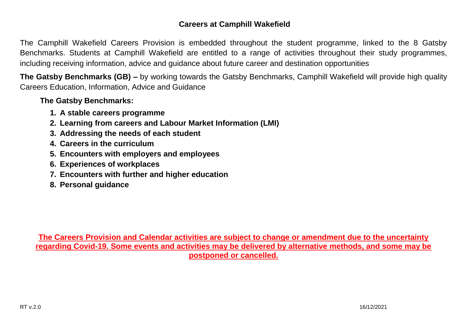### **Careers at Camphill Wakefield**

The Camphill Wakefield Careers Provision is embedded throughout the student programme, linked to the 8 Gatsby Benchmarks. Students at Camphill Wakefield are entitled to a range of activities throughout their study programmes, including receiving information, advice and guidance about future career and destination opportunities

**The Gatsby Benchmarks (GB) –** by working towards the Gatsby Benchmarks, Camphill Wakefield will provide high quality Careers Education, Information, Advice and Guidance

**The Gatsby Benchmarks:**

- **1. A stable careers programme**
- **2. Learning from careers and Labour Market Information (LMI)**
- **3. Addressing the needs of each student**
- **4. Careers in the curriculum**
- **5. Encounters with employers and employees**
- **6. Experiences of workplaces**
- **7. Encounters with further and higher education**
- **8. Personal guidance**

**The Careers Provision and Calendar activities are subject to change or amendment due to the uncertainty regarding Covid-19. Some events and activities may be delivered by alternative methods, and some may be postponed or cancelled.**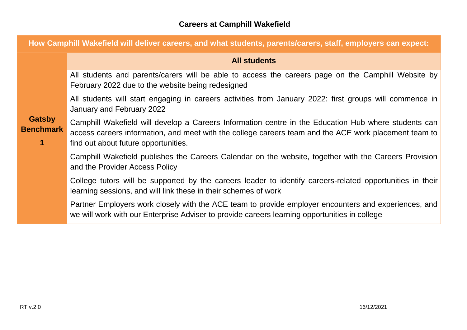| How Camphill Wakefield will deliver careers, and what students, parents/carers, staff, employers can expect: |                                                                                                                                                                                                                                                       |  |
|--------------------------------------------------------------------------------------------------------------|-------------------------------------------------------------------------------------------------------------------------------------------------------------------------------------------------------------------------------------------------------|--|
|                                                                                                              | <b>All students</b>                                                                                                                                                                                                                                   |  |
| <b>Gatsby</b><br><b>Benchmark</b>                                                                            | All students and parents/carers will be able to access the careers page on the Camphill Website by<br>February 2022 due to the website being redesigned                                                                                               |  |
|                                                                                                              | All students will start engaging in careers activities from January 2022: first groups will commence in<br>January and February 2022                                                                                                                  |  |
|                                                                                                              | Camphill Wakefield will develop a Careers Information centre in the Education Hub where students can<br>access careers information, and meet with the college careers team and the ACE work placement team to<br>find out about future opportunities. |  |
|                                                                                                              | Camphill Wakefield publishes the Careers Calendar on the website, together with the Careers Provision<br>and the Provider Access Policy                                                                                                               |  |
|                                                                                                              | College tutors will be supported by the careers leader to identify careers-related opportunities in their<br>learning sessions, and will link these in their schemes of work                                                                          |  |
|                                                                                                              | Partner Employers work closely with the ACE team to provide employer encounters and experiences, and<br>we will work with our Enterprise Adviser to provide careers learning opportunities in college                                                 |  |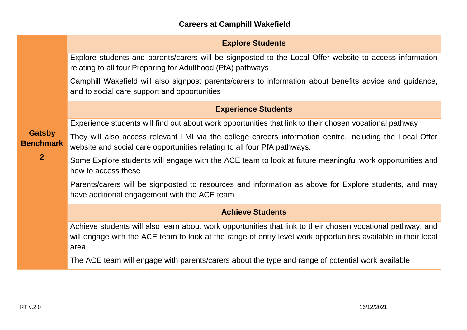|                                                     | <b>Explore Students</b>                                                                                                                                                                                                              |
|-----------------------------------------------------|--------------------------------------------------------------------------------------------------------------------------------------------------------------------------------------------------------------------------------------|
|                                                     | Explore students and parents/carers will be signposted to the Local Offer website to access information<br>relating to all four Preparing for Adulthood (PfA) pathways                                                               |
|                                                     | Camphill Wakefield will also signpost parents/carers to information about benefits advice and guidance,<br>and to social care support and opportunities                                                                              |
|                                                     | <b>Experience Students</b>                                                                                                                                                                                                           |
|                                                     | Experience students will find out about work opportunities that link to their chosen vocational pathway                                                                                                                              |
| <b>Gatsby</b><br><b>Benchmark</b><br>2 <sup>2</sup> | They will also access relevant LMI via the college careers information centre, including the Local Offer<br>website and social care opportunities relating to all four PfA pathways.                                                 |
|                                                     | Some Explore students will engage with the ACE team to look at future meaningful work opportunities and<br>how to access these                                                                                                       |
|                                                     | Parents/carers will be signposted to resources and information as above for Explore students, and may<br>have additional engagement with the ACE team                                                                                |
|                                                     | <b>Achieve Students</b>                                                                                                                                                                                                              |
|                                                     | Achieve students will also learn about work opportunities that link to their chosen vocational pathway, and<br>will engage with the ACE team to look at the range of entry level work opportunities available in their local<br>area |
|                                                     | The ACE team will engage with parents/carers about the type and range of potential work available                                                                                                                                    |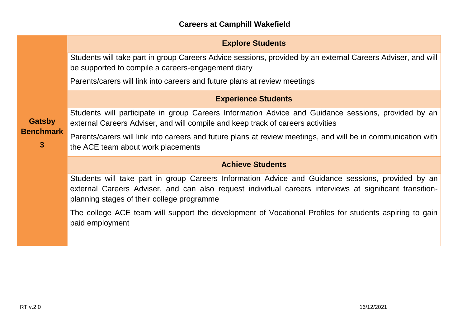# **Explore Students**

Students will take part in group Careers Advice sessions, provided by an external Careers Adviser, and will be supported to compile a careers-engagement diary

Parents/carers will link into careers and future plans at review meetings

# **Experience Students**

Students will participate in group Careers Information Advice and Guidance sessions, provided by an external Careers Adviser, and will compile and keep track of careers activities

Parents/carers will link into careers and future plans at review meetings, and will be in communication with the ACE team about work placements

### **Achieve Students**

Students will take part in group Careers Information Advice and Guidance sessions, provided by an external Careers Adviser, and can also request individual careers interviews at significant transitionplanning stages of their college programme

The college ACE team will support the development of Vocational Profiles for students aspiring to gain paid employment

# **Gatsby Benchmark**

**3**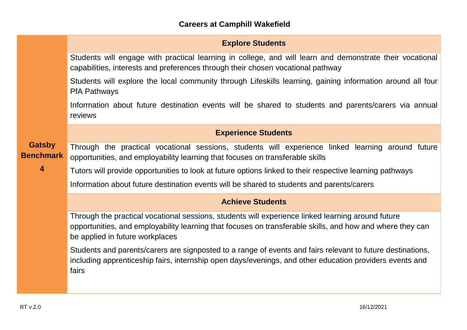|                                   | <b>Explore Students</b>                                                                                                                                                                                                                           |
|-----------------------------------|---------------------------------------------------------------------------------------------------------------------------------------------------------------------------------------------------------------------------------------------------|
|                                   | Students will engage with practical learning in college, and will learn and demonstrate their vocational<br>capabilities, interests and preferences through their chosen vocational pathway                                                       |
|                                   | Students will explore the local community through Lifeskills learning, gaining information around all four<br><b>PfA Pathways</b>                                                                                                                 |
|                                   | Information about future destination events will be shared to students and parents/carers via annual<br>reviews                                                                                                                                   |
|                                   | <b>Experience Students</b>                                                                                                                                                                                                                        |
| <b>Gatsby</b><br><b>Benchmark</b> | Through the practical vocational sessions, students will experience linked learning around future<br>opportunities, and employability learning that focuses on transferable skills                                                                |
| $\overline{\mathbf{4}}$           | Tutors will provide opportunities to look at future options linked to their respective learning pathways                                                                                                                                          |
|                                   | Information about future destination events will be shared to students and parents/carers                                                                                                                                                         |
|                                   | <b>Achieve Students</b>                                                                                                                                                                                                                           |
|                                   | Through the practical vocational sessions, students will experience linked learning around future<br>opportunities, and employability learning that focuses on transferable skills, and how and where they can<br>be applied in future workplaces |
|                                   | Students and parents/carers are signposted to a range of events and fairs relevant to future destinations,<br>including apprenticeship fairs, internship open days/evenings, and other education providers events and<br>fairs                    |
|                                   |                                                                                                                                                                                                                                                   |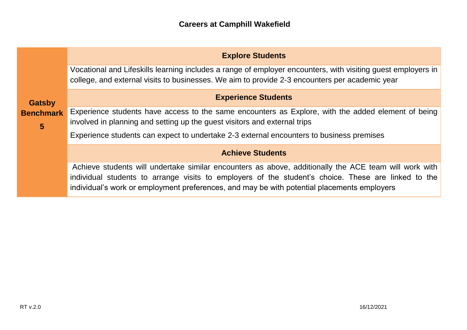|                                                     | <b>Explore Students</b>                                                                                                                                                                                                                                                                                     |
|-----------------------------------------------------|-------------------------------------------------------------------------------------------------------------------------------------------------------------------------------------------------------------------------------------------------------------------------------------------------------------|
| <b>Gatsby</b><br><b>Benchmark</b><br>$5\phantom{1}$ | Vocational and Lifeskills learning includes a range of employer encounters, with visiting guest employers in<br>college, and external visits to businesses. We aim to provide 2-3 encounters per academic year                                                                                              |
|                                                     | <b>Experience Students</b>                                                                                                                                                                                                                                                                                  |
|                                                     | Experience students have access to the same encounters as Explore, with the added element of being<br>involved in planning and setting up the guest visitors and external trips                                                                                                                             |
|                                                     | Experience students can expect to undertake 2-3 external encounters to business premises                                                                                                                                                                                                                    |
|                                                     | <b>Achieve Students</b>                                                                                                                                                                                                                                                                                     |
|                                                     | Achieve students will undertake similar encounters as above, additionally the ACE team will work with<br>individual students to arrange visits to employers of the student's choice. These are linked to the<br>individual's work or employment preferences, and may be with potential placements employers |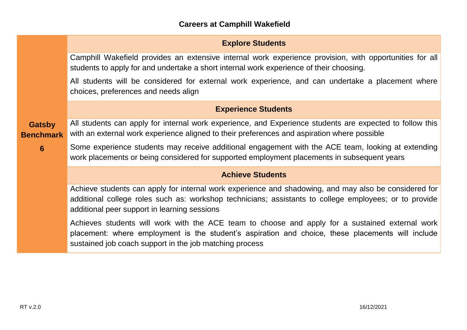|                                   | <b>Explore Students</b>                                                                                                                                                                                                                                         |
|-----------------------------------|-----------------------------------------------------------------------------------------------------------------------------------------------------------------------------------------------------------------------------------------------------------------|
|                                   | Camphill Wakefield provides an extensive internal work experience provision, with opportunities for all<br>students to apply for and undertake a short internal work experience of their choosing.                                                              |
|                                   | All students will be considered for external work experience, and can undertake a placement where<br>choices, preferences and needs align                                                                                                                       |
|                                   | <b>Experience Students</b>                                                                                                                                                                                                                                      |
| <b>Gatsby</b><br><b>Benchmark</b> | All students can apply for internal work experience, and Experience students are expected to follow this<br>with an external work experience aligned to their preferences and aspiration where possible                                                         |
| $6\phantom{1}6$                   | Some experience students may receive additional engagement with the ACE team, looking at extending<br>work placements or being considered for supported employment placements in subsequent years                                                               |
|                                   | <b>Achieve Students</b>                                                                                                                                                                                                                                         |
|                                   | Achieve students can apply for internal work experience and shadowing, and may also be considered for<br>additional college roles such as: workshop technicians; assistants to college employees; or to provide<br>additional peer support in learning sessions |
|                                   | Achieves students will work with the ACE team to choose and apply for a sustained external work<br>placement: where employment is the student's aspiration and choice, these placements will include<br>sustained job coach support in the job matching process |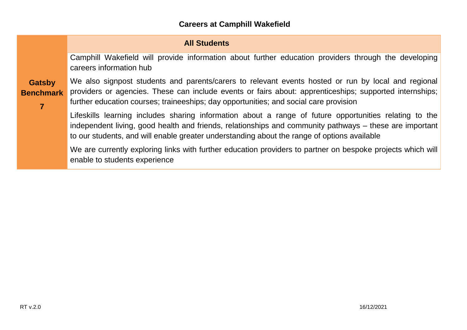### **Careers at Camphill Wakefield**

### **All Students**

Camphill Wakefield will provide information about further education providers through the developing careers information hub

#### **Gatsby Benchmark**

**7**

We also signpost students and parents/carers to relevant events hosted or run by local and regional providers or agencies. These can include events or fairs about: apprenticeships; supported internships; further education courses; traineeships; day opportunities; and social care provision

Lifeskills learning includes sharing information about a range of future opportunities relating to the independent living, good health and friends, relationships and community pathways – these are important to our students, and will enable greater understanding about the range of options available

We are currently exploring links with further education providers to partner on bespoke projects which will enable to students experience